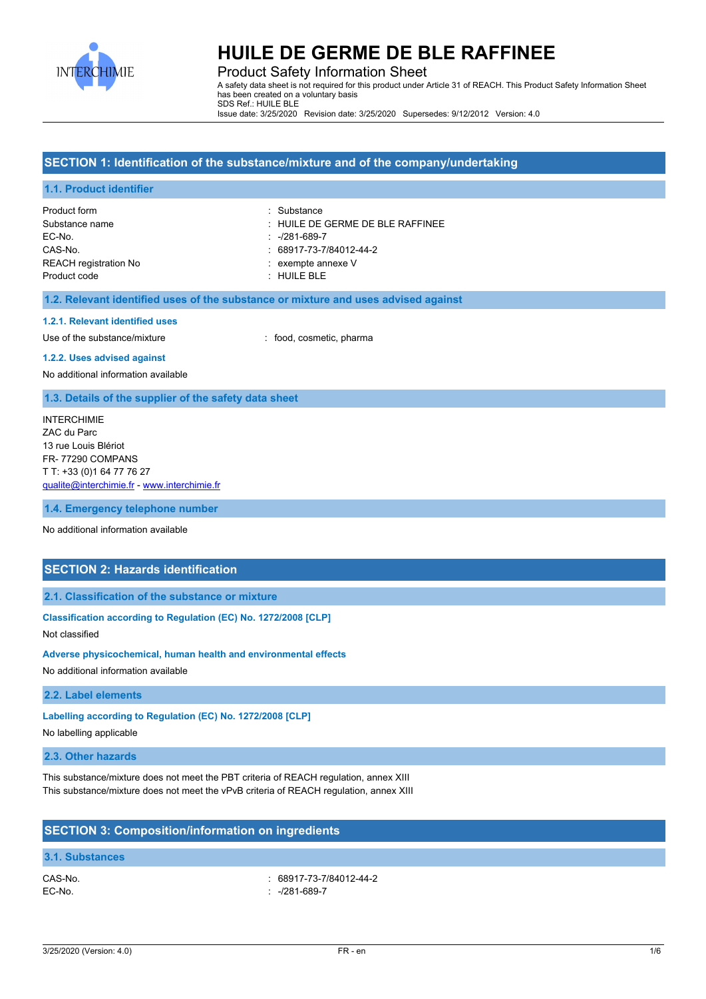

Product Safety Information Sheet A safety data sheet is not required for this product under Article 31 of REACH. This Product Safety Information Sheet has been created on a voluntary basis SDS Ref.: HUILE BLE Issue date: 3/25/2020 Revision date: 3/25/2020 Supersedes: 9/12/2012 Version: 4.0

# **SECTION 1: Identification of the substance/mixture and of the company/undertaking**

| 1.1. Product identifier      |                                   |
|------------------------------|-----------------------------------|
| Product form                 | : Substance                       |
| Substance name               | : HUILE DE GERME DE BLE RAFFINEE  |
| EC-No.                       | : -/281-689-7                     |
| CAS-No.                      | $: 68917 - 73 - 7/84012 - 44 - 2$ |
| <b>REACH</b> registration No | $:$ exempte annexe $V$            |
| Product code                 | $\pm$ HUILE BLE                   |

#### **1.2. Relevant identified uses of the substance or mixture and uses advised against**

#### **1.2.1. Relevant identified uses**

Use of the substance/mixture in the substance/mixture in the substance of the substance of the substance of the substance of the substance of the substance/mixture in the substance of the substance of the substance of the

#### **1.2.2. Uses advised against**

No additional information available

### **1.3. Details of the supplier of the safety data sheet**

INTERCHIMIE ZAC du Parc 13 rue Louis Blériot FR- 77290 COMPANS T T: +33 (0)1 64 77 76 27 [qualite@interchimie.fr](mailto:qualite@interchimie.fr) - <www.interchimie.fr>

**1.4. Emergency telephone number**

No additional information available

### **SECTION 2: Hazards identification**

### **2.1. Classification of the substance or mixture**

**Classification according to Regulation (EC) No. 1272/2008 [CLP]** Not classified

### **Adverse physicochemical, human health and environmental effects**

No additional information available

### **2.2. Label elements**

### **Labelling according to Regulation (EC) No. 1272/2008 [CLP]**

No labelling applicable

### **2.3. Other hazards**

This substance/mixture does not meet the PBT criteria of REACH regulation, annex XIII This substance/mixture does not meet the vPvB criteria of REACH regulation, annex XIII

### **SECTION 3: Composition/information on ingredients**

# **3.1. Substances**

CAS-No. : 68917-73-7/84012-44-2 EC-No. : -/281-689-7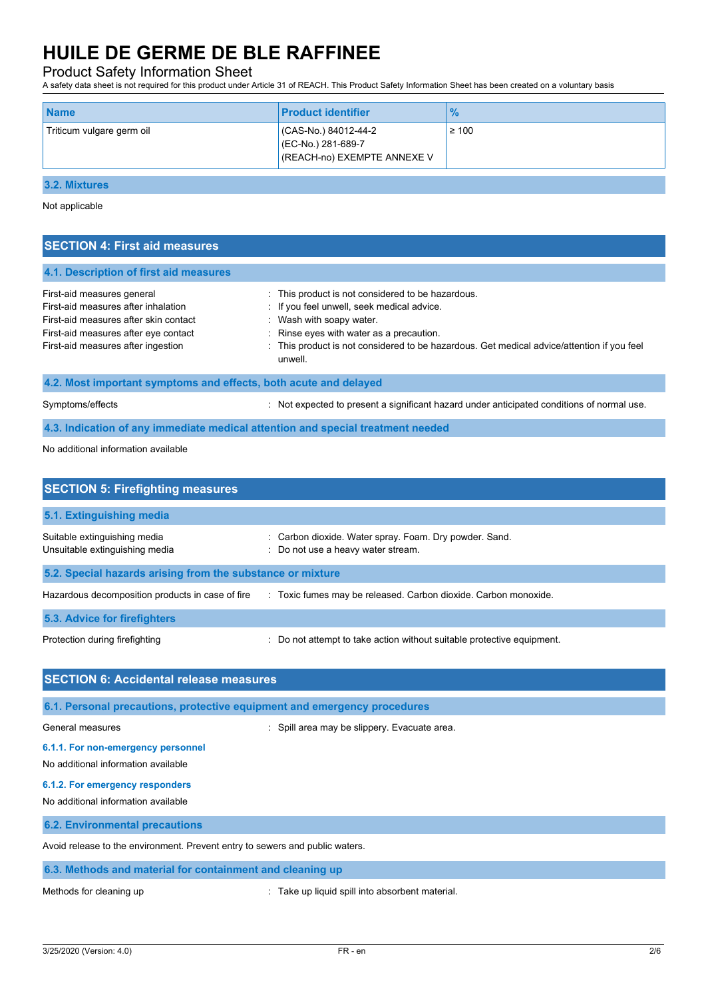# Product Safety Information Sheet

A safety data sheet is not required for this product under Article 31 of REACH. This Product Safety Information Sheet has been created on a voluntary basis

| CAS-No.) 84012-44-2<br>Triticum vulgare germ oil | $\geq 100$                  |
|--------------------------------------------------|-----------------------------|
| (EC-No.) 281-689-7                               | (REACH-no) EXEMPTE ANNEXE V |

**3.2. Mixtures**

Not applicable

| <b>SECTION 4: First aid measures</b>                                                                                                                                                     |                                                                                                                                                                                                                                                                            |  |  |  |
|------------------------------------------------------------------------------------------------------------------------------------------------------------------------------------------|----------------------------------------------------------------------------------------------------------------------------------------------------------------------------------------------------------------------------------------------------------------------------|--|--|--|
| 4.1. Description of first aid measures                                                                                                                                                   |                                                                                                                                                                                                                                                                            |  |  |  |
| First-aid measures general<br>First-aid measures after inhalation<br>First-aid measures after skin contact<br>First-aid measures after eye contact<br>First-aid measures after ingestion | This product is not considered to be hazardous.<br>: If you feel unwell, seek medical advice.<br>: Wash with soapy water.<br>Rinse eyes with water as a precaution.<br>This product is not considered to be hazardous. Get medical advice/attention if you feel<br>unwell. |  |  |  |
| 4.2. Most important symptoms and effects, both acute and delayed                                                                                                                         |                                                                                                                                                                                                                                                                            |  |  |  |
| Symptoms/effects                                                                                                                                                                         | : Not expected to present a significant hazard under anticipated conditions of normal use.                                                                                                                                                                                 |  |  |  |
| 4.3. Indication of any immediate medical attention and special treatment needed                                                                                                          |                                                                                                                                                                                                                                                                            |  |  |  |
| No additional information available                                                                                                                                                      |                                                                                                                                                                                                                                                                            |  |  |  |
| <b>SECTION 5: Firefighting measures</b>                                                                                                                                                  |                                                                                                                                                                                                                                                                            |  |  |  |
| 5.1. Extinguishing media                                                                                                                                                                 |                                                                                                                                                                                                                                                                            |  |  |  |
| Suitable extinguishing media<br>Unsuitable extinguishing media                                                                                                                           | : Carbon dioxide. Water spray. Foam. Dry powder. Sand.<br>Do not use a heavy water stream.                                                                                                                                                                                 |  |  |  |

**5.2. Special hazards arising from the substance or mixture**

Hazardous decomposition products in case of fire : Toxic fumes may be released. Carbon dioxide. Carbon monoxide.

**5.3. Advice for firefighters**

Protection during firefighting  $\qquad \qquad \qquad$ : Do not attempt to take action without suitable protective equipment.

**6.1. Personal precautions, protective equipment and emergency procedures**

General measures **in the summand of the Science of Spill** area may be slippery. Evacuate area.

### **6.1.1. For non-emergency personnel**

No additional information available

### **6.1.2. For emergency responders**

No additional information available

### **6.2. Environmental precautions**

Avoid release to the environment. Prevent entry to sewers and public waters.

### **6.3. Methods and material for containment and cleaning up**

Methods for cleaning up **into absorbent material.** Take up liquid spill into absorbent material.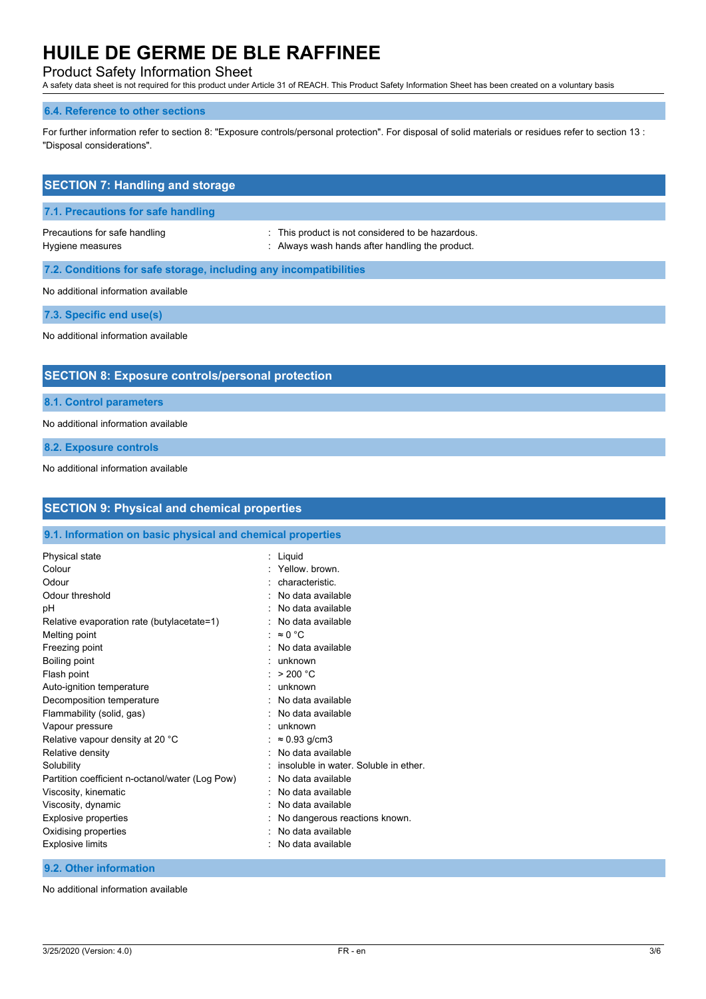# Product Safety Information Sheet

A safety data sheet is not required for this product under Article 31 of REACH. This Product Safety Information Sheet has been created on a voluntary basis

### **6.4. Reference to other sections**

For further information refer to section 8: "Exposure controls/personal protection". For disposal of solid materials or residues refer to section 13 : "Disposal considerations".

| <b>SECTION 7: Handling and storage</b>                            |                                                                                                      |  |  |  |
|-------------------------------------------------------------------|------------------------------------------------------------------------------------------------------|--|--|--|
| 7.1. Precautions for safe handling                                |                                                                                                      |  |  |  |
| Precautions for safe handling<br>Hygiene measures                 | : This product is not considered to be hazardous.<br>: Always wash hands after handling the product. |  |  |  |
| 7.2. Conditions for safe storage, including any incompatibilities |                                                                                                      |  |  |  |
| No additional information available                               |                                                                                                      |  |  |  |
| 7.3. Specific end use(s)                                          |                                                                                                      |  |  |  |
| No additional information available                               |                                                                                                      |  |  |  |
| <b>SECTION 8: Exposure controls/personal protection</b>           |                                                                                                      |  |  |  |
| <b>8.1. Control parameters</b>                                    |                                                                                                      |  |  |  |
| No additional information available                               |                                                                                                      |  |  |  |

**8.2. Exposure controls**

No additional information available

| <b>SECTION 9: Physical and chemical properties</b>         |                                       |  |  |
|------------------------------------------------------------|---------------------------------------|--|--|
| 9.1. Information on basic physical and chemical properties |                                       |  |  |
| Physical state                                             | : Liquid                              |  |  |
| Colour                                                     | Yellow, brown.                        |  |  |
| Odour                                                      | characteristic.                       |  |  |
| Odour threshold                                            | No data available                     |  |  |
| рH                                                         | No data available                     |  |  |
| Relative evaporation rate (butylacetate=1)                 | : No data available                   |  |  |
| Melting point                                              | $\approx 0$ °C                        |  |  |
| Freezing point                                             | : No data available                   |  |  |
| Boiling point                                              | : unknown                             |  |  |
| Flash point                                                | : $> 200 °C$                          |  |  |
| Auto-ignition temperature                                  | : unknown                             |  |  |
| Decomposition temperature                                  | No data available                     |  |  |
| Flammability (solid, gas)                                  | : No data available                   |  |  |
| Vapour pressure                                            | : unknown                             |  |  |
| Relative vapour density at 20 °C                           | $\approx 0.93$ g/cm3                  |  |  |
| Relative density                                           | No data available                     |  |  |
| Solubility                                                 | insoluble in water. Soluble in ether. |  |  |
| Partition coefficient n-octanol/water (Log Pow)            | No data available                     |  |  |
| Viscosity, kinematic                                       | No data available                     |  |  |
| Viscosity, dynamic                                         | No data available                     |  |  |
| <b>Explosive properties</b>                                | No dangerous reactions known.         |  |  |
| Oxidising properties                                       | : No data available                   |  |  |
| <b>Explosive limits</b>                                    | : No data available                   |  |  |
| 9.2. Other information                                     |                                       |  |  |

No additional information available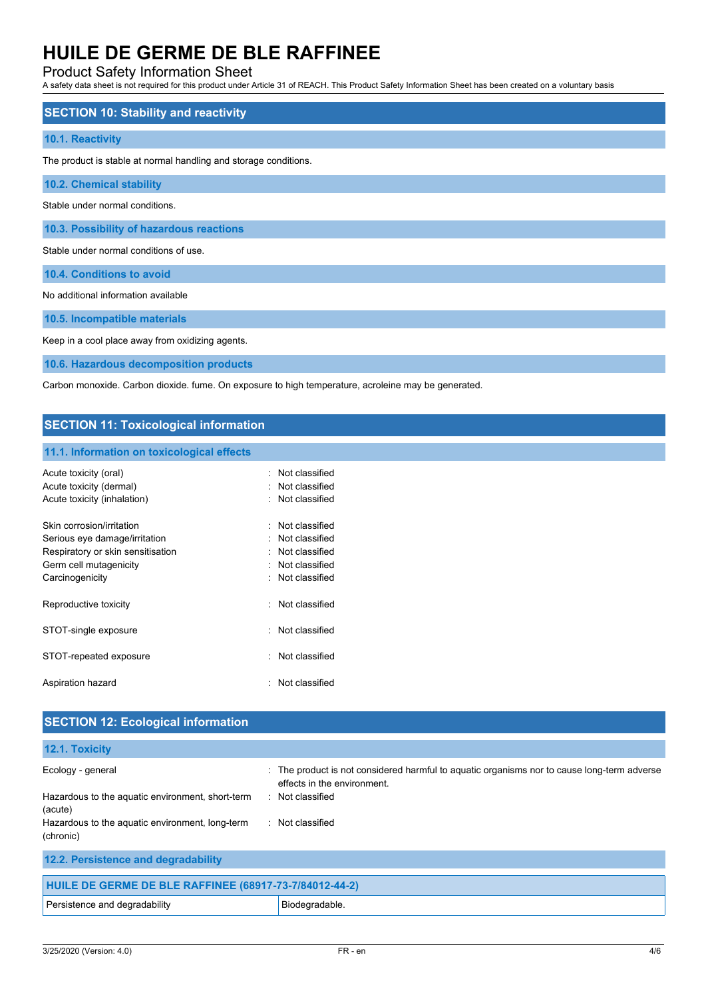# Product Safety Information Sheet

A safety data sheet is not required for this product under Article 31 of REACH. This Product Safety Information Sheet has been created on a voluntary basis

| <b>SECTION 10: Stability and reactivity</b>                      |
|------------------------------------------------------------------|
| 10.1. Reactivity                                                 |
| The product is stable at normal handling and storage conditions. |
| 10.2. Chemical stability                                         |
| Stable under normal conditions.                                  |
| 10.3. Possibility of hazardous reactions                         |
| Stable under normal conditions of use.                           |
| 10.4. Conditions to avoid                                        |
| No additional information available                              |
| 10.5. Incompatible materials                                     |

Keep in a cool place away from oxidizing agents.

**10.6. Hazardous decomposition products**

Carbon monoxide. Carbon dioxide. fume. On exposure to high temperature, acroleine may be generated.

# **SECTION 11: Toxicological information**

### **11.1. Information on toxicological effects**

| Acute toxicity (oral)             | Not classified   |
|-----------------------------------|------------------|
| Acute toxicity (dermal)           | · Not classified |
| Acute toxicity (inhalation)       | : Not classified |
| Skin corrosion/irritation         | · Not classified |
| Serious eye damage/irritation     | : Not classified |
| Respiratory or skin sensitisation | . Not classified |
| Germ cell mutagenicity            | : Not classified |
| Carcinogenicity                   | : Not classified |
| Reproductive toxicity             | Not classified   |
| STOT-single exposure              | · Not classified |
| STOT-repeated exposure            | Not classified   |
| Aspiration hazard                 | : Not classified |

| <b>SECTION 12: Ecological information</b>                    |                                                                                                                            |
|--------------------------------------------------------------|----------------------------------------------------------------------------------------------------------------------------|
| 12.1. Toxicity                                               |                                                                                                                            |
| Ecology - general                                            | : The product is not considered harmful to aquatic organisms nor to cause long-term adverse<br>effects in the environment. |
| Hazardous to the aquatic environment, short-term<br>(acute)  | : Not classified                                                                                                           |
| Hazardous to the aquatic environment, long-term<br>(chronic) | : Not classified                                                                                                           |
| 12.2. Persistence and degradability                          |                                                                                                                            |
| HUILE DE GERME DE BLE RAFFINEE (68917-73-7/84012-44-2)       |                                                                                                                            |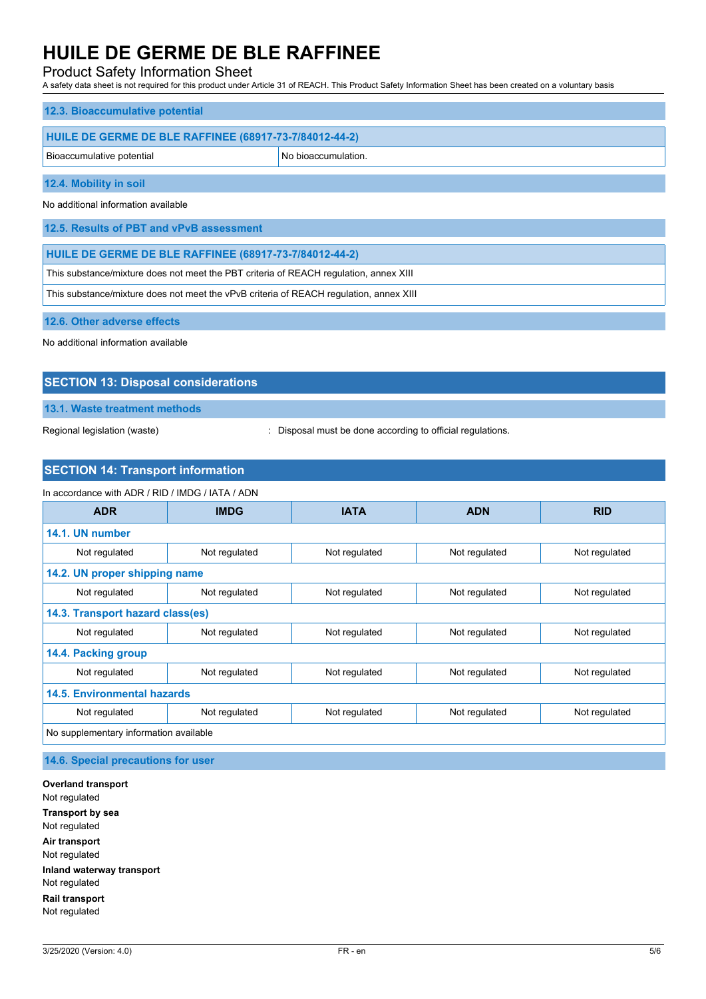# Product Safety Information Sheet

A safety data sheet is not required for this product under Article 31 of REACH. This Product Safety Information Sheet has been created on a voluntary basis

| 12.3. Bioaccumulative potential                               |                     |  |  |
|---------------------------------------------------------------|---------------------|--|--|
| <b>HUILE DE GERME DE BLE RAFFINEE (68917-73-7/84012-44-2)</b> |                     |  |  |
| Bioaccumulative potential                                     | No bioaccumulation. |  |  |
| 12.4. Mobility in soil                                        |                     |  |  |

No additional information available

**12.5. Results of PBT and vPvB assessment**

**HUILE DE GERME DE BLE RAFFINEE (68917-73-7/84012-44-2)**

This substance/mixture does not meet the PBT criteria of REACH regulation, annex XIII

This substance/mixture does not meet the vPvB criteria of REACH regulation, annex XIII

**12.6. Other adverse effects**

No additional information available

# **SECTION 13: Disposal considerations**

**13.1. Waste treatment methods**

Regional legislation (waste)  $\qquad \qquad$ : Disposal must be done according to official regulations.

# **SECTION 14: Transport information**

| In accordance with ADR / RID / IMDG / IATA / ADN |  |  |  |  |
|--------------------------------------------------|--|--|--|--|
|                                                  |  |  |  |  |

| <b>ADR</b>                             | <b>IMDG</b>   | <b>IATA</b>   | <b>ADN</b>    | <b>RID</b>    |
|----------------------------------------|---------------|---------------|---------------|---------------|
|                                        |               |               |               |               |
| 14.1. UN number                        |               |               |               |               |
| Not regulated                          | Not regulated | Not regulated | Not regulated | Not regulated |
| 14.2. UN proper shipping name          |               |               |               |               |
| Not regulated                          | Not regulated | Not regulated | Not regulated | Not regulated |
| 14.3. Transport hazard class(es)       |               |               |               |               |
| Not regulated                          | Not regulated | Not regulated | Not regulated | Not regulated |
| 14.4. Packing group                    |               |               |               |               |
| Not regulated                          | Not regulated | Not regulated | Not regulated | Not regulated |
| <b>14.5. Environmental hazards</b>     |               |               |               |               |
| Not regulated                          | Not regulated | Not regulated | Not regulated | Not regulated |
| No supplementary information available |               |               |               |               |

**14.6. Special precautions for user**

**Overland transport** Not regulated **Transport by sea** Not regulated **Air transport** Not regulated **Inland waterway transport** Not regulated **Rail transport** Not regulated